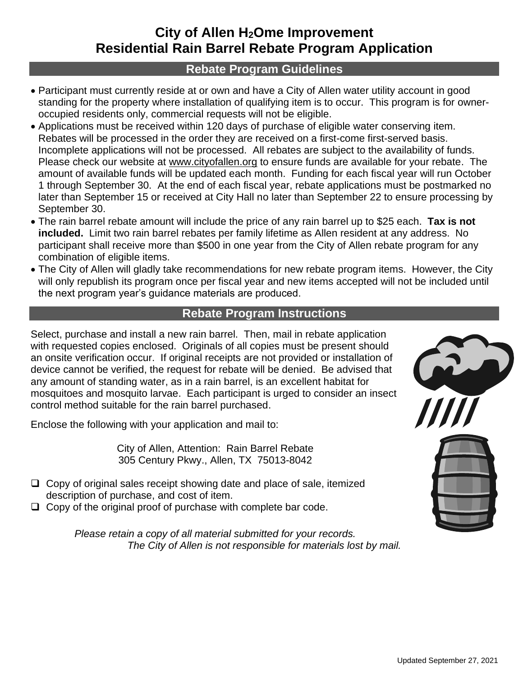## **City of Allen H2Ome Improvement Residential Rain Barrel Rebate Program Application**

## **Rebate Program Guidelines**

- Participant must currently reside at or own and have a City of Allen water utility account in good standing for the property where installation of qualifying item is to occur. This program is for owneroccupied residents only, commercial requests will not be eligible.
- Applications must be received within 120 days of purchase of eligible water conserving item. Rebates will be processed in the order they are received on a first-come first-served basis. Incomplete applications will not be processed. All rebates are subject to the availability of funds. Please check our website at www.cityofallen.org to ensure funds are available for your rebate. The amount of available funds will be updated each month. Funding for each fiscal year will run October 1 through September 30. At the end of each fiscal year, rebate applications must be postmarked no later than September 15 or received at City Hall no later than September 22 to ensure processing by September 30.
- The rain barrel rebate amount will include the price of any rain barrel up to \$25 each. **Tax is not included.** Limit two rain barrel rebates per family lifetime as Allen resident at any address. No participant shall receive more than \$500 in one year from the City of Allen rebate program for any combination of eligible items.
- The City of Allen will gladly take recommendations for new rebate program items. However, the City will only republish its program once per fiscal year and new items accepted will not be included until the next program year's guidance materials are produced.

## **Rebate Program Instructions**

Select, purchase and install a new rain barrel. Then, mail in rebate application with requested copies enclosed. Originals of all copies must be present should an onsite verification occur. If original receipts are not provided or installation of device cannot be verified, the request for rebate will be denied. Be advised that any amount of standing water, as in a rain barrel, is an excellent habitat for mosquitoes and mosquito larvae. Each participant is urged to consider an insect control method suitable for the rain barrel purchased.

Enclose the following with your application and mail to:

City of Allen, Attention: Rain Barrel Rebate 305 Century Pkwy., Allen, TX 75013-8042

- ❑ Copy of original sales receipt showing date and place of sale, itemized description of purchase, and cost of item.
- ❑ Copy of the original proof of purchase with complete bar code.

*Please retain a copy of all material submitted for your records. The City of Allen is not responsible for materials lost by mail.*